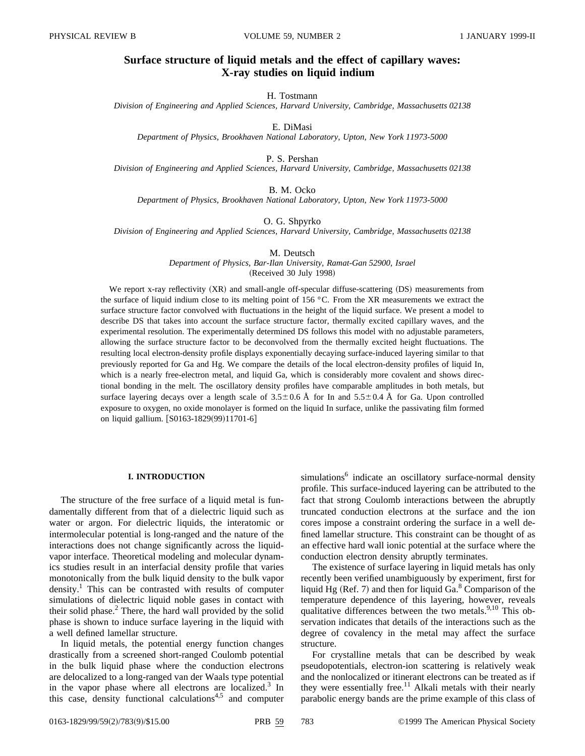# **Surface structure of liquid metals and the effect of capillary waves: X-ray studies on liquid indium**

#### H. Tostmann

*Division of Engineering and Applied Sciences, Harvard University, Cambridge, Massachusetts 02138*

## E. DiMasi

*Department of Physics, Brookhaven National Laboratory, Upton, New York 11973-5000*

# P. S. Pershan

*Division of Engineering and Applied Sciences, Harvard University, Cambridge, Massachusetts 02138*

B. M. Ocko

*Department of Physics, Brookhaven National Laboratory, Upton, New York 11973-5000*

O. G. Shpyrko

*Division of Engineering and Applied Sciences, Harvard University, Cambridge, Massachusetts 02138*

M. Deutsch

*Department of Physics, Bar-Ilan University, Ramat-Gan 52900, Israel* (Received 30 July 1998)

We report x-ray reflectivity  $(XR)$  and small-angle off-specular diffuse-scattering  $(DS)$  measurements from the surface of liquid indium close to its melting point of 156 °C. From the XR measurements we extract the surface structure factor convolved with fluctuations in the height of the liquid surface. We present a model to describe DS that takes into account the surface structure factor, thermally excited capillary waves, and the experimental resolution. The experimentally determined DS follows this model with no adjustable parameters, allowing the surface structure factor to be deconvolved from the thermally excited height fluctuations. The resulting local electron-density profile displays exponentially decaying surface-induced layering similar to that previously reported for Ga and Hg. We compare the details of the local electron-density profiles of liquid In, which is a nearly free-electron metal, and liquid Ga, which is considerably more covalent and shows directional bonding in the melt. The oscillatory density profiles have comparable amplitudes in both metals, but surface layering decays over a length scale of  $3.5\pm0.6$  Å for In and  $5.5\pm0.4$  Å for Ga. Upon controlled exposure to oxygen, no oxide monolayer is formed on the liquid In surface, unlike the passivating film formed on liquid gallium. [S0163-1829(99)11701-6]

## **I. INTRODUCTION**

The structure of the free surface of a liquid metal is fundamentally different from that of a dielectric liquid such as water or argon. For dielectric liquids, the interatomic or intermolecular potential is long-ranged and the nature of the interactions does not change significantly across the liquidvapor interface. Theoretical modeling and molecular dynamics studies result in an interfacial density profile that varies monotonically from the bulk liquid density to the bulk vapor density.<sup>1</sup> This can be contrasted with results of computer simulations of dielectric liquid noble gases in contact with their solid phase. $<sup>2</sup>$  There, the hard wall provided by the solid</sup> phase is shown to induce surface layering in the liquid with a well defined lamellar structure.

In liquid metals, the potential energy function changes drastically from a screened short-ranged Coulomb potential in the bulk liquid phase where the conduction electrons are delocalized to a long-ranged van der Waals type potential in the vapor phase where all electrons are localized.<sup>3</sup> In this case, density functional calculations<sup>4,5</sup> and computer simulations<sup>6</sup> indicate an oscillatory surface-normal density profile. This surface-induced layering can be attributed to the fact that strong Coulomb interactions between the abruptly truncated conduction electrons at the surface and the ion cores impose a constraint ordering the surface in a well defined lamellar structure. This constraint can be thought of as an effective hard wall ionic potential at the surface where the conduction electron density abruptly terminates.

The existence of surface layering in liquid metals has only recently been verified unambiguously by experiment, first for liquid Hg  $(Ref. 7)$  and then for liquid Ga. $8$  Comparison of the temperature dependence of this layering, however, reveals qualitative differences between the two metals.<sup>9,10</sup> This observation indicates that details of the interactions such as the degree of covalency in the metal may affect the surface structure.

For crystalline metals that can be described by weak pseudopotentials, electron-ion scattering is relatively weak and the nonlocalized or itinerant electrons can be treated as if they were essentially free.<sup>11</sup> Alkali metals with their nearly parabolic energy bands are the prime example of this class of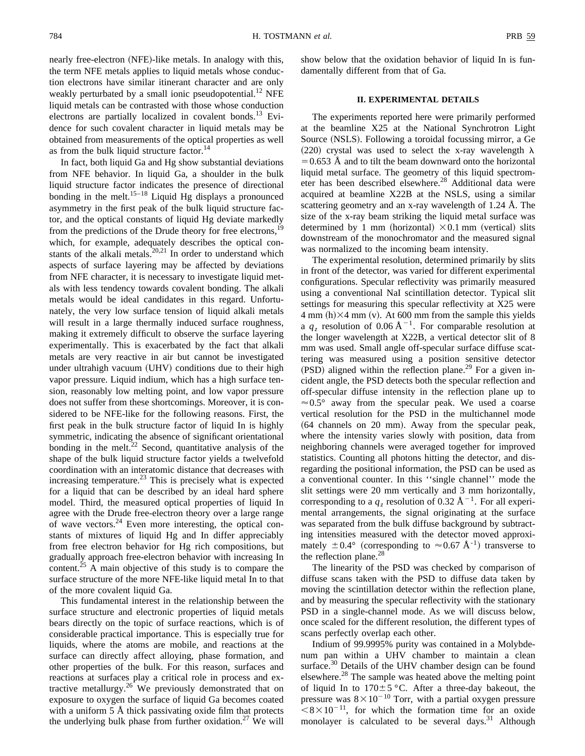nearly free-electron (NFE)-like metals. In analogy with this, the term NFE metals applies to liquid metals whose conduction electrons have similar itinerant character and are only weakly perturbated by a small ionic pseudopotential.<sup>12</sup> NFE liquid metals can be contrasted with those whose conduction electrons are partially localized in covalent bonds.<sup>13</sup> Evidence for such covalent character in liquid metals may be obtained from measurements of the optical properties as well as from the bulk liquid structure factor. $14$ 

In fact, both liquid Ga and Hg show substantial deviations from NFE behavior. In liquid Ga, a shoulder in the bulk liquid structure factor indicates the presence of directional bonding in the melt.<sup>15–18</sup> Liquid Hg displays a pronounced asymmetry in the first peak of the bulk liquid structure factor, and the optical constants of liquid Hg deviate markedly from the predictions of the Drude theory for free electrons,<sup>19</sup> which, for example, adequately describes the optical constants of the alkali metals. $20,21$  In order to understand which aspects of surface layering may be affected by deviations from NFE character, it is necessary to investigate liquid metals with less tendency towards covalent bonding. The alkali metals would be ideal candidates in this regard. Unfortunately, the very low surface tension of liquid alkali metals will result in a large thermally induced surface roughness, making it extremely difficult to observe the surface layering experimentally. This is exacerbated by the fact that alkali metals are very reactive in air but cannot be investigated under ultrahigh vacuum (UHV) conditions due to their high vapor pressure. Liquid indium, which has a high surface tension, reasonably low melting point, and low vapor pressure does not suffer from these shortcomings. Moreover, it is considered to be NFE-like for the following reasons. First, the first peak in the bulk structure factor of liquid In is highly symmetric, indicating the absence of significant orientational bonding in the melt.<sup>22</sup> Second, quantitative analysis of the shape of the bulk liquid structure factor yields a twelvefold coordination with an interatomic distance that decreases with increasing temperature.<sup>23</sup> This is precisely what is expected for a liquid that can be described by an ideal hard sphere model. Third, the measured optical properties of liquid In agree with the Drude free-electron theory over a large range of wave vectors.<sup>24</sup> Even more interesting, the optical constants of mixtures of liquid Hg and In differ appreciably from free electron behavior for Hg rich compositions, but gradually approach free-electron behavior with increasing In content.25 A main objective of this study is to compare the surface structure of the more NFE-like liquid metal In to that of the more covalent liquid Ga.

This fundamental interest in the relationship between the surface structure and electronic properties of liquid metals bears directly on the topic of surface reactions, which is of considerable practical importance. This is especially true for liquids, where the atoms are mobile, and reactions at the surface can directly affect alloying, phase formation, and other properties of the bulk. For this reason, surfaces and reactions at surfaces play a critical role in process and extractive metallurgy.<sup>26</sup> We previously demonstrated that on exposure to oxygen the surface of liquid Ga becomes coated with a uniform 5 Å thick passivating oxide film that protects the underlying bulk phase from further oxidation.<sup>27</sup> We will show below that the oxidation behavior of liquid In is fundamentally different from that of Ga.

#### **II. EXPERIMENTAL DETAILS**

The experiments reported here were primarily performed at the beamline X25 at the National Synchrotron Light Source (NSLS). Following a toroidal focussing mirror, a Ge (220) crystal was used to select the x-ray wavelength  $\lambda$  $=0.653$  Å and to tilt the beam downward onto the horizontal liquid metal surface. The geometry of this liquid spectrometer has been described elsewhere.<sup>28</sup> Additional data were acquired at beamline X22B at the NSLS, using a similar scattering geometry and an x-ray wavelength of 1.24 Å. The size of the x-ray beam striking the liquid metal surface was determined by 1 mm (horizontal)  $\times$  0.1 mm (vertical) slits downstream of the monochromator and the measured signal was normalized to the incoming beam intensity.

The experimental resolution, determined primarily by slits in front of the detector, was varied for different experimental configurations. Specular reflectivity was primarily measured using a conventional NaI scintillation detector. Typical slit settings for measuring this specular reflectivity at X25 were 4 mm  $(h) \times 4$  mm  $(v)$ . At 600 mm from the sample this yields a  $q_z$  resolution of 0.06  $\AA^{-1}$ . For comparable resolution at the longer wavelength at X22B, a vertical detector slit of 8 mm was used. Small angle off-specular surface diffuse scattering was measured using a position sensitive detector  $(PSD)$  aligned within the reflection plane.<sup>29</sup> For a given incident angle, the PSD detects both the specular reflection and off-specular diffuse intensity in the reflection plane up to  $\approx 0.5^{\circ}$  away from the specular peak. We used a coarse vertical resolution for the PSD in the multichannel mode  $(64$  channels on 20 mm). Away from the specular peak, where the intensity varies slowly with position, data from neighboring channels were averaged together for improved statistics. Counting all photons hitting the detector, and disregarding the positional information, the PSD can be used as a conventional counter. In this ''single channel'' mode the slit settings were 20 mm vertically and 3 mm horizontally, corresponding to a  $q_z$  resolution of 0.32  $\rm \AA^{-1}$ . For all experimental arrangements, the signal originating at the surface was separated from the bulk diffuse background by subtracting intensities measured with the detector moved approximately  $\pm 0.4^{\circ}$  (corresponding to  $\approx 0.67 \text{ Å}^{-1}$ ) transverse to the reflection plane.<sup>28</sup>

The linearity of the PSD was checked by comparison of diffuse scans taken with the PSD to diffuse data taken by moving the scintillation detector within the reflection plane, and by measuring the specular reflectivity with the stationary PSD in a single-channel mode. As we will discuss below, once scaled for the different resolution, the different types of scans perfectly overlap each other.

Indium of 99.9995% purity was contained in a Molybdenum pan within a UHV chamber to maintain a clean surface. $30$  Details of the UHV chamber design can be found elsewhere.<sup>28</sup> The sample was heated above the melting point of liquid In to  $170 \pm 5$  °C. After a three-day bakeout, the pressure was  $8 \times 10^{-10}$  Torr, with a partial oxygen pressure  $\leq 8 \times 10^{-11}$ , for which the formation time for an oxide monolayer is calculated to be several days.<sup>31</sup> Although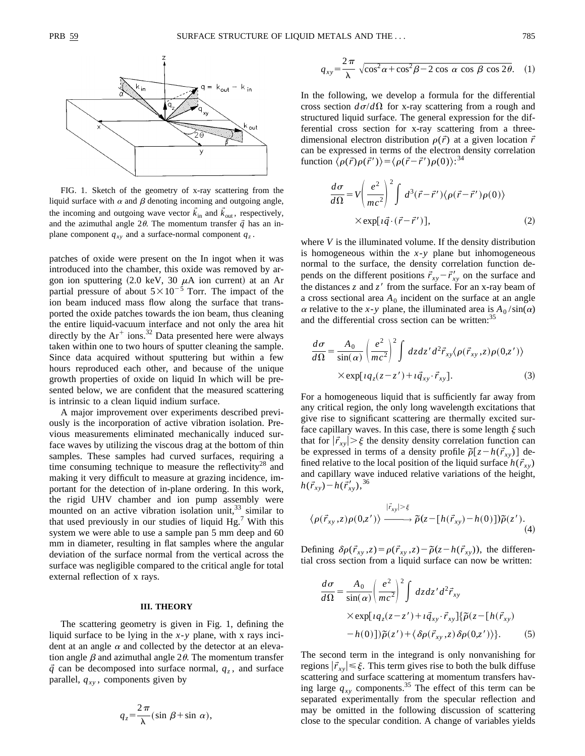

FIG. 1. Sketch of the geometry of x-ray scattering from the liquid surface with  $\alpha$  and  $\beta$  denoting incoming and outgoing angle, the incoming and outgoing wave vector  $\vec{k}_{in}$  and  $\vec{k}_{out}$ , respectively, and the azimuthal angle  $2\theta$ . The momentum transfer  $\vec{q}$  has an inplane component  $q_{xy}$  and a surface-normal component  $q_z$ .

patches of oxide were present on the In ingot when it was introduced into the chamber, this oxide was removed by argon ion sputtering  $(2.0 \text{ keV}, 30 \mu\text{A}$  ion current) at an Ar partial pressure of about  $5 \times 10^{-5}$  Torr. The impact of the ion beam induced mass flow along the surface that transported the oxide patches towards the ion beam, thus cleaning the entire liquid-vacuum interface and not only the area hit directly by the  $Ar^+$  ions.<sup>32</sup> Data presented here were always taken within one to two hours of sputter cleaning the sample. Since data acquired without sputtering but within a few hours reproduced each other, and because of the unique growth properties of oxide on liquid In which will be presented below, we are confident that the measured scattering is intrinsic to a clean liquid indium surface.

A major improvement over experiments described previously is the incorporation of active vibration isolation. Previous measurements eliminated mechanically induced surface waves by utilizing the viscous drag at the bottom of thin samples. These samples had curved surfaces, requiring a time consuming technique to measure the reflectivity<sup>28</sup> and making it very difficult to measure at grazing incidence, important for the detection of in-plane ordering. In this work, the rigid UHV chamber and ion pump assembly were mounted on an active vibration isolation unit,  $33 \sinh$ that used previously in our studies of liquid  $Hg<sup>7</sup>$  With this system we were able to use a sample pan 5 mm deep and 60 mm in diameter, resulting in flat samples where the angular deviation of the surface normal from the vertical across the surface was negligible compared to the critical angle for total external reflection of x rays.

#### **III. THEORY**

The scattering geometry is given in Fig. 1, defining the liquid surface to be lying in the *x*-*y* plane, with x rays incident at an angle  $\alpha$  and collected by the detector at an elevation angle  $\beta$  and azimuthal angle 2 $\theta$ . The momentum transfer  $\vec{q}$  can be decomposed into surface normal,  $q_z$ , and surface parallel,  $q_{xy}$ , components given by

$$
q_z = \frac{2\pi}{\lambda} (\sin \beta + \sin \alpha),
$$

$$
q_{xy} = \frac{2\pi}{\lambda} \sqrt{\cos^2 \alpha + \cos^2 \beta - 2 \cos \alpha \cos \beta \cos 2\theta}.
$$
 (1)

In the following, we develop a formula for the differential cross section  $d\sigma/d\Omega$  for x-ray scattering from a rough and structured liquid surface. The general expression for the differential cross section for x-ray scattering from a threedimensional electron distribution  $\rho(\vec{r})$  at a given location  $\vec{r}$ can be expressed in terms of the electron density correlation function  $\langle \rho(\vec{r})\rho(\vec{r}')\rangle = \langle \rho(\vec{r}-\vec{r}')\rho(0)\rangle$ :<sup>34</sup>

$$
\frac{d\sigma}{d\Omega} = V \left( \frac{e^2}{mc^2} \right)^2 \int d^3(\vec{r} - \vec{r}') \langle \rho(\vec{r} - \vec{r}') \rho(0) \rangle
$$
  
× exp[ $i\vec{q} \cdot (\vec{r} - \vec{r}')$ ], (2)

where *V* is the illuminated volume. If the density distribution is homogeneous within the *x*-*y* plane but inhomogeneous normal to the surface, the density correlation function depends on the different positions  $\vec{r}_{xy} - \vec{r}'_{xy}$  on the surface and the distances  $z$  and  $z'$  from the surface. For an x-ray beam of a cross sectional area  $A_0$  incident on the surface at an angle  $\alpha$  relative to the *x*-*y* plane, the illuminated area is  $A_0 / \sin(\alpha)$ and the differential cross section can be written:<sup>35</sup>

$$
\frac{d\sigma}{d\Omega} = \frac{A_0}{\sin(\alpha)} \left(\frac{e^2}{mc^2}\right)^2 \int dz dz' d^2 \vec{r}_{xy} \langle \rho(\vec{r}_{xy}, z) \rho(0, z') \rangle
$$
  
×  $\exp[iq_z(z-z') + i\vec{q}_{xy} \cdot \vec{r}_{xy}].$  (3)

For a homogeneous liquid that is sufficiently far away from any critical region, the only long wavelength excitations that give rise to significant scattering are thermally excited surface capillary waves. In this case, there is some length  $\xi$  such that for  $|\vec{r}_{xy}| > \xi$  the density density correlation function can be expressed in terms of a density profile  $\tilde{\rho}[z-h(\vec{r}_{xy})]$  defined relative to the local position of the liquid surface  $h(\vec{r}_{xy})$ and capillary wave induced relative variations of the height,  $h(\vec{r}_{xy}) - h(\vec{r}_{xy}'),^{36}$ 

$$
\langle \rho(\vec{r}_{xy},z)\rho(0,z') \rangle \xrightarrow{|\vec{r}_{xy}| > \xi} \tilde{\rho}(z-[h(\vec{r}_{xy})-h(0)])\tilde{\rho}(z'). \tag{4}
$$

Defining  $\delta \rho(\vec{r}_{xy}, z) = \rho(\vec{r}_{xy}, z) - \tilde{\rho}(z - h(\vec{r}_{xy}))$ , the differential cross section from a liquid surface can now be written:

$$
\frac{d\sigma}{d\Omega} = \frac{A_0}{\sin(\alpha)} \left(\frac{e^2}{mc^2}\right)^2 \int dz dz' d^2 \vec{r}_{xy}
$$
  
× $\exp[iq_z(z-z') + i\vec{q}_{xy} \cdot \vec{r}_{xy}]\{\tilde{\rho}(z-[h(\vec{r}_{xy})$   
-h(0)]) $\tilde{\rho}(z') + \langle \delta\rho(\vec{r}_{xy}, z) \delta\rho(0, z') \rangle\}$ . (5)

The second term in the integrand is only nonvanishing for regions  $|\vec{r}_{xy}| \le \xi$ . This term gives rise to both the bulk diffuse scattering and surface scattering at momentum transfers having large  $q_{xy}$  components.<sup>35</sup> The effect of this term can be separated experimentally from the specular reflection and may be omitted in the following discussion of scattering close to the specular condition. A change of variables yields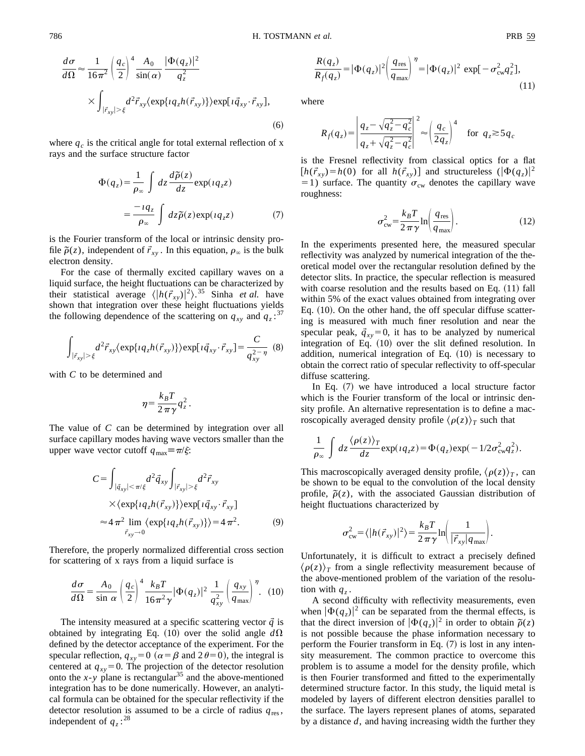$$
\frac{d\sigma}{d\Omega} \approx \frac{1}{16\pi^2} \left(\frac{q_c}{2}\right)^4 \frac{A_0}{\sin(\alpha)} \frac{|\Phi(q_z)|^2}{q_z^2}
$$
  
 
$$
\times \int_{|\vec{r}_{xy}| > \xi} d^2 \vec{r}_{xy} \langle \exp\{iq_z h(\vec{r}_{xy})\} \rangle \exp[i\vec{q}_{xy} \cdot \vec{r}_{xy} ],
$$
(6)

where  $q_c$  is the critical angle for total external reflection of x rays and the surface structure factor

$$
\Phi(q_z) = \frac{1}{\rho_{\infty}} \int dz \frac{d\tilde{\rho}(z)}{dz} \exp(i q_z z)
$$

$$
= \frac{-i q_z}{\rho_{\infty}} \int dz \tilde{\rho}(z) \exp(i q_z z) \tag{7}
$$

is the Fourier transform of the local or intrinsic density profile  $\tilde{\rho}(z)$ , independent of  $\vec{r}_{xy}$ . In this equation,  $\rho_{\infty}$  is the bulk electron density.

For the case of thermally excited capillary waves on a liquid surface, the height fluctuations can be characterized by their statistical average  $\langle |h(\vec{r}_{xy})|^2 \rangle$ .<sup>35</sup> Sinha *et al.* have shown that integration over these height fluctuations yields the following dependence of the scattering on  $q_{xy}$  and  $q_z$ :<sup>37</sup>

$$
\int_{|\vec{r}_{xy}|>\xi} d^2 \vec{r}_{xy} \langle \exp\{iq_z h(\vec{r}_{xy})\} \rangle \exp[i\vec{q}_{xy} \cdot \vec{r}_{xy}] = \frac{C}{q_{xy}^{2-\eta}} \quad (8)
$$

with *C* to be determined and

$$
\eta = \frac{k_B T}{2 \pi \gamma} q_z^2.
$$

The value of *C* can be determined by integration over all surface capillary modes having wave vectors smaller than the upper wave vector cutoff  $q_{\text{max}} = \pi/\xi$ :

$$
C = \int_{|\vec{q}_{xy}| < \pi/\xi} d^2 \vec{q}_{xy} \int_{|\vec{r}_{xy}| > \xi} d^2 \vec{r}_{xy}
$$
  
 
$$
\times \langle \exp\{iq_z h(\vec{r}_{xy})\} \rangle \exp[i\vec{q}_{xy} \cdot \vec{r}_{xy}]
$$
  
 
$$
\approx 4 \pi^2 \lim_{\vec{r}_{xy} \to 0} \langle \exp\{iq_z h(\vec{r}_{xy})\} \rangle = 4 \pi^2.
$$
 (9)

Therefore, the properly normalized differential cross section for scattering of x rays from a liquid surface is

$$
\frac{d\sigma}{d\Omega} = \frac{A_0}{\sin \alpha} \left(\frac{q_c}{2}\right)^4 \frac{k_B T}{16\pi^2 \gamma} |\Phi(q_z)|^2 \frac{1}{q_{xy}^2} \left(\frac{q_{xy}}{q_{\text{max}}}\right)^{\eta} . \tag{10}
$$

The intensity measured at a specific scattering vector  $\vec{q}$  is obtained by integrating Eq.  $(10)$  over the solid angle  $d\Omega$ defined by the detector acceptance of the experiment. For the specular reflection,  $q_{xy} = 0$  ( $\alpha = \beta$  and  $2\theta = 0$ ), the integral is centered at  $q_{xy}$ =0. The projection of the detector resolution onto the  $x-y$  plane is rectangular<sup>35</sup> and the above-mentioned integration has to be done numerically. However, an analytical formula can be obtained for the specular reflectivity if the detector resolution is assumed to be a circle of radius  $q_{res}$ , independent of  $q_z$ :<sup>28</sup>

$$
\frac{R(q_z)}{R_f(q_z)} = |\Phi(q_z)|^2 \left(\frac{q_{\text{res}}}{q_{\text{max}}}\right)^{\eta} = |\Phi(q_z)|^2 \exp[-\sigma_{\text{cw}}^2 q_z^2],\tag{11}
$$

where

$$
R_f(q_z) = \left| \frac{q_z - \sqrt{q_z^2 - q_c^2}}{q_z + \sqrt{q_z^2 - q_c^2}} \right|^2 \approx \left( \frac{q_c}{2q_z} \right)^4 \quad \text{for } q_z \approx 5q_c
$$

is the Fresnel reflectivity from classical optics for a flat  $[h(\vec{r}_{xy}) = h(0)$  for all  $h(\vec{r}_{xy})$  and structureless  $(|\Phi(q_z)|^2)$ =1) surface. The quantity  $\sigma_{\rm cw}$  denotes the capillary wave roughness:

$$
\sigma_{\rm cw}^2 = \frac{k_B T}{2 \pi \gamma} \ln \left( \frac{q_{\rm res}}{q_{\rm max}} \right). \tag{12}
$$

In the experiments presented here, the measured specular reflectivity was analyzed by numerical integration of the theoretical model over the rectangular resolution defined by the detector slits. In practice, the specular reflection is measured with coarse resolution and the results based on Eq.  $(11)$  fall within 5% of the exact values obtained from integrating over Eq.  $(10)$ . On the other hand, the off specular diffuse scattering is measured with much finer resolution and near the specular peak,  $\vec{q}_{xy} = 0$ , it has to be analyzed by numerical integration of Eq.  $(10)$  over the slit defined resolution. In addition, numerical integration of Eq.  $(10)$  is necessary to obtain the correct ratio of specular reflectivity to off-specular diffuse scattering.

In Eq.  $(7)$  we have introduced a local structure factor which is the Fourier transform of the local or intrinsic density profile. An alternative representation is to define a macroscopically averaged density profile  $\langle \rho(z) \rangle$ <sub>*T*</sub> such that

$$
\frac{1}{\rho_{\infty}}\int dz \frac{\langle \rho(z)\rangle_T}{dz} \exp(i q_z z) = \Phi(q_z) \exp(-1/2\sigma_{\text{cw}}^2 q_z^2).
$$

This macroscopically averaged density profile,  $\langle \rho(z) \rangle_T$ , can be shown to be equal to the convolution of the local density profile,  $\tilde{\rho}(z)$ , with the associated Gaussian distribution of height fluctuations characterized by

$$
\sigma_{\rm cw}^2 = \langle |h(\vec{r}_{xy})|^2 \rangle = \frac{k_B T}{2 \pi \gamma} \ln \left( \frac{1}{|\vec{r}_{xy}| q_{\rm max}} \right).
$$

Unfortunately, it is difficult to extract a precisely defined  $\langle \rho(z) \rangle$ <sup>*T*</sup> from a single reflectivity measurement because of the above-mentioned problem of the variation of the resolution with  $q_{\tau}$ .

A second difficulty with reflectivity measurements, even when  $|\Phi(q_z)|^2$  can be separated from the thermal effects, is that the direct inversion of  $|\Phi(q_z)|^2$  in order to obtain  $\tilde{\rho}(z)$ is not possible because the phase information necessary to perform the Fourier transform in Eq.  $(7)$  is lost in any intensity measurement. The common practice to overcome this problem is to assume a model for the density profile, which is then Fourier transformed and fitted to the experimentally determined structure factor. In this study, the liquid metal is modeled by layers of different electron densities parallel to the surface. The layers represent planes of atoms, separated by a distance *d*, and having increasing width the further they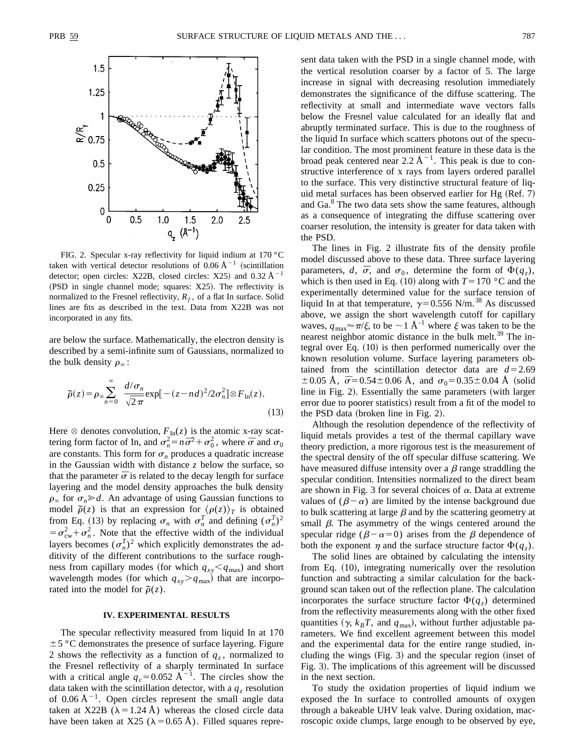

FIG. 2. Specular x-ray reflectivity for liquid indium at 170 °C taken with vertical detector resolutions of 0.06  $\AA^{-1}$  (scintillation detector; open circles: X22B, closed circles: X25) and  $0.32 \text{ Å}^{-1}$  $(PSD$  in single channel mode; squares:  $X25$ ). The reflectivity is normalized to the Fresnel reflectivity,  $R_f$ , of a flat In surface. Solid lines are fits as described in the text. Data from X22B was not incorporated in any fits.

are below the surface. Mathematically, the electron density is described by a semi-infinite sum of Gaussians, normalized to the bulk density  $\rho_{\infty}$ :

$$
\tilde{\rho}(z) = \rho_{\infty} \sum_{n=0}^{\infty} \frac{d/\sigma_n}{\sqrt{2\pi}} \exp[-(z - nd)^2 / 2\sigma_n^2] \otimes F_{\text{In}}(z).
$$
\n(13)

Here  $\otimes$  denotes convolution,  $F_{\text{In}}(z)$  is the atomic x-ray scattering form factor of In, and  $\sigma_n^2 = n\bar{\sigma}^2 + \sigma_0^2$ , where  $\bar{\sigma}$  and  $\sigma_0$ are constants. This form for  $\sigma_n$  produces a quadratic increase in the Gaussian width with distance *z* below the surface, so that the parameter  $\bar{\sigma}$  is related to the decay length for surface layering and the model density approaches the bulk density  $\rho_{\infty}$  for  $\sigma_{\eta} \ge d$ . An advantage of using Gaussian functions to model  $\tilde{\rho}(z)$  is that an expression for  $\langle \rho(z) \rangle_T$  is obtained from Eq. (13) by replacing  $\sigma_n$  with  $\sigma_n^T$  and defining  $(\sigma_n^T)^2$  $= \sigma_{\text{cw}}^2 + \sigma_n^2$ . Note that the effective width of the individual layers becomes  $(\sigma_n^T)^2$  which explicitly demonstrates the additivity of the different contributions to the surface roughness from capillary modes (for which  $q_{xy} < q_{\text{max}}$ ) and short wavelength modes (for which  $q_{xy} > q_{max}$ ) that are incorporated into the model for  $\tilde{\rho}(z)$ .

# **IV. EXPERIMENTAL RESULTS**

The specular reflectivity measured from liquid In at 170  $\pm$  5 °C demonstrates the presence of surface layering. Figure 2 shows the reflectivity as a function of  $q<sub>z</sub>$ , normalized to the Fresnel reflectivity of a sharply terminated In surface with a critical angle  $q_c$ =0.052 Å<sup>-1</sup>. The circles show the data taken with the scintillation detector, with a  $q<sub>z</sub>$  resolution of  $0.06 \text{ Å}^{-1}$ . Open circles represent the small angle data taken at X22B ( $\lambda$ =1.24 Å) whereas the closed circle data have been taken at X25 ( $\lambda$ =0.65 Å). Filled squares represent data taken with the PSD in a single channel mode, with the vertical resolution coarser by a factor of 5. The large increase in signal with decreasing resolution immediately demonstrates the significance of the diffuse scattering. The reflectivity at small and intermediate wave vectors falls below the Fresnel value calculated for an ideally flat and abruptly terminated surface. This is due to the roughness of the liquid In surface which scatters photons out of the specular condition. The most prominent feature in these data is the broad peak centered near 2.2  $\AA^{-1}$ . This peak is due to constructive interference of x rays from layers ordered parallel to the surface. This very distinctive structural feature of liquid metal surfaces has been observed earlier for Hg  $(Ref. 7)$ and Ga.<sup>8</sup> The two data sets show the same features, although as a consequence of integrating the diffuse scattering over coarser resolution, the intensity is greater for data taken with the PSD.

The lines in Fig. 2 illustrate fits of the density profile model discussed above to these data. Three surface layering parameters, *d*,  $\bar{\sigma}$ , and  $\sigma_0$ , determine the form of  $\Phi(q_z)$ , which is then used in Eq. (10) along with  $T=170$  °C and the experimentally determined value for the surface tension of liquid In at that temperature,  $\gamma$ =0.556 N/m.<sup>38</sup> As discussed above, we assign the short wavelength cutoff for capillary waves,  $q_{\text{max}} \approx \pi/\xi$ , to be  $\sim 1 \text{ Å}^{-1}$  where  $\xi$  was taken to be the nearest neighbor atomic distance in the bulk melt.<sup>39</sup> The integral over Eq.  $(10)$  is then performed numerically over the known resolution volume. Surface layering parameters obtained from the scintillation detector data are  $d=2.69$  $\pm 0.05$  Å,  $\bar{\sigma}$ =0.54 $\pm$ 0.06 Å, and  $\sigma_0$ =0.35 $\pm$ 0.04 Å (solid line in Fig. 2). Essentially the same parameters (with larger error due to poorer statistics) result from a fit of the model to the PSD data (broken line in Fig.  $2$ ).

Although the resolution dependence of the reflectivity of liquid metals provides a test of the thermal capillary wave theory prediction, a more rigorous test is the measurement of the spectral density of the off specular diffuse scattering. We have measured diffuse intensity over a  $\beta$  range straddling the specular condition. Intensities normalized to the direct beam are shown in Fig. 3 for several choices of  $\alpha$ . Data at extreme values of  $(\beta - \alpha)$  are limited by the intense background due to bulk scattering at large  $\beta$  and by the scattering geometry at small  $\beta$ . The asymmetry of the wings centered around the specular ridge ( $\beta - \alpha = 0$ ) arises from the  $\beta$  dependence of both the exponent  $\eta$  and the surface structure factor  $\Phi(q_z)$ .

The solid lines are obtained by calculating the intensity from Eq. (10), integrating numerically over the resolution function and subtracting a similar calculation for the background scan taken out of the reflection plane. The calculation incorporates the surface structure factor  $\Phi(q_z)$  determined from the reflectivity measurements along with the other fixed quantities ( $\gamma$ ,  $k_B T$ , and  $q_{\text{max}}$ ), without further adjustable parameters. We find excellent agreement between this model and the experimental data for the entire range studied, including the wings  $(Fig. 3)$  and the specular region (inset of Fig. 3). The implications of this agreement will be discussed in the next section.

To study the oxidation properties of liquid indium we exposed the In surface to controlled amounts of oxygen through a bakeable UHV leak valve. During oxidation, macroscopic oxide clumps, large enough to be observed by eye,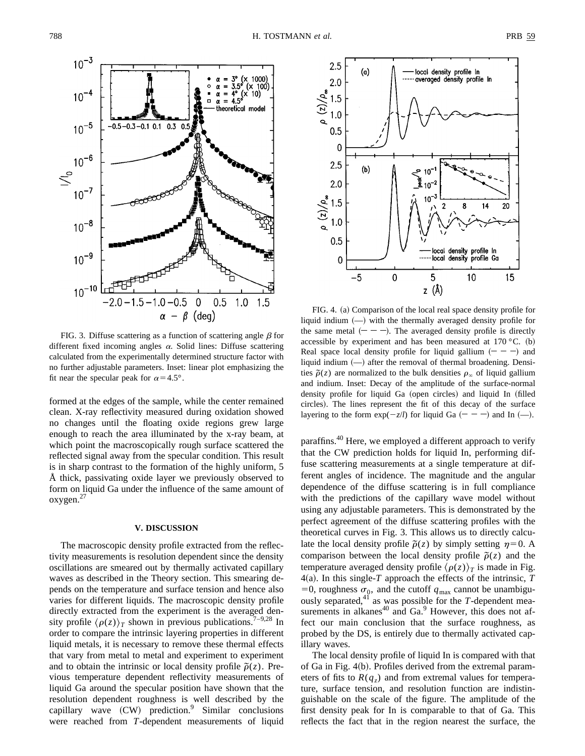

FIG. 3. Diffuse scattering as a function of scattering angle  $\beta$  for different fixed incoming angles  $\alpha$ . Solid lines: Diffuse scattering calculated from the experimentally determined structure factor with no further adjustable parameters. Inset: linear plot emphasizing the fit near the specular peak for  $\alpha=4.5^{\circ}$ .

formed at the edges of the sample, while the center remained clean. X-ray reflectivity measured during oxidation showed no changes until the floating oxide regions grew large enough to reach the area illuminated by the x-ray beam, at which point the macroscopically rough surface scattered the reflected signal away from the specular condition. This result is in sharp contrast to the formation of the highly uniform, 5 Å thick, passivating oxide layer we previously observed to form on liquid Ga under the influence of the same amount of oxygen.<sup>27</sup>

#### **V. DISCUSSION**

The macroscopic density profile extracted from the reflectivity measurements is resolution dependent since the density oscillations are smeared out by thermally activated capillary waves as described in the Theory section. This smearing depends on the temperature and surface tension and hence also varies for different liquids. The macroscopic density profile directly extracted from the experiment is the averaged density profile  $\langle \rho(z) \rangle_T$  shown in previous publications.<sup>7–9,28</sup> In order to compare the intrinsic layering properties in different liquid metals, it is necessary to remove these thermal effects that vary from metal to metal and experiment to experiment and to obtain the intrinsic or local density profile  $\tilde{\rho}(z)$ . Previous temperature dependent reflectivity measurements of liquid Ga around the specular position have shown that the resolution dependent roughness is well described by the capillary wave  $(CW)$  prediction.<sup>9</sup> Similar conclusions were reached from *T*-dependent measurements of liquid



FIG. 4. (a) Comparison of the local real space density profile for liquid indium  $(-)$  with the thermally averaged density profile for the same metal  $(- - -)$ . The averaged density profile is directly accessible by experiment and has been measured at  $170 °C$ . (b) Real space local density profile for liquid gallium  $(- - )$  and liquid indium  $(-)$  after the removal of thermal broadening. Densities  $\tilde{\rho}(z)$  are normalized to the bulk densities  $\rho_{\infty}$  of liquid gallium and indium. Inset: Decay of the amplitude of the surface-normal density profile for liquid Ga (open circles) and liquid In (filled circles). The lines represent the fit of this decay of the surface layering to the form  $\exp(-z/l)$  for liquid Ga  $(- - )$  and In  $(-)$ .

paraffins.<sup>40</sup> Here, we employed a different approach to verify that the CW prediction holds for liquid In, performing diffuse scattering measurements at a single temperature at different angles of incidence. The magnitude and the angular dependence of the diffuse scattering is in full compliance with the predictions of the capillary wave model without using any adjustable parameters. This is demonstrated by the perfect agreement of the diffuse scattering profiles with the theoretical curves in Fig. 3. This allows us to directly calculate the local density profile  $\tilde{\rho}(z)$  by simply setting  $\eta=0$ . A comparison between the local density profile  $\tilde{\rho}(z)$  and the temperature averaged density profile  $\langle \rho(z) \rangle_T$  is made in Fig.  $4(a)$ . In this single-*T* approach the effects of the intrinsic, *T* =0, roughness  $\sigma_0$ , and the cutoff  $q_{\text{max}}$  cannot be unambiguously separated,<sup>41</sup> as was possible for the  $T$ -dependent measurements in alkanes $40$  and Ga. $9$  However, this does not affect our main conclusion that the surface roughness, as probed by the DS, is entirely due to thermally activated capillary waves.

The local density profile of liquid In is compared with that of Ga in Fig.  $4(b)$ . Profiles derived from the extremal parameters of fits to  $R(q_z)$  and from extremal values for temperature, surface tension, and resolution function are indistinguishable on the scale of the figure. The amplitude of the first density peak for In is comparable to that of Ga. This reflects the fact that in the region nearest the surface, the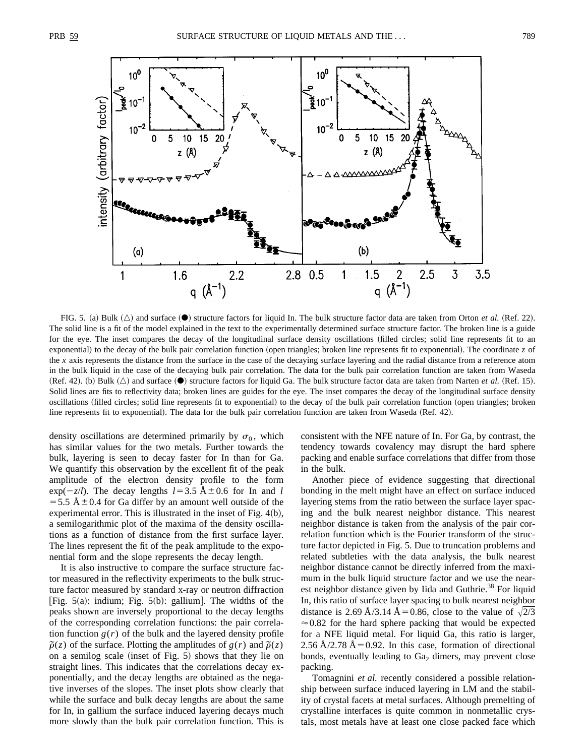

FIG. 5. (a) Bulk  $(\triangle)$  and surface  $(\bullet)$  structure factors for liquid In. The bulk structure factor data are taken from Orton *et al.* (Ref. 22). The solid line is a fit of the model explained in the text to the experimentally determined surface structure factor. The broken line is a guide for the eye. The inset compares the decay of the longitudinal surface density oscillations (filled circles; solid line represents fit to an exponential) to the decay of the bulk pair correlation function (open triangles; broken line represents fit to exponential). The coordinate *z* of the *x* axis represents the distance from the surface in the case of the decaying surface layering and the radial distance from a reference atom in the bulk liquid in the case of the decaying bulk pair correlation. The data for the bulk pair correlation function are taken from Waseda  $(Ref. 42)$ . (b) Bulk  $(\triangle)$  and surface  $(\triangle)$  structure factors for liquid Ga. The bulk structure factor data are taken from Narten *et al.*  $(Ref. 15)$ . Solid lines are fits to reflectivity data; broken lines are guides for the eye. The inset compares the decay of the longitudinal surface density oscillations (filled circles; solid line represents fit to exponential) to the decay of the bulk pair correlation function (open triangles; broken line represents fit to exponential). The data for the bulk pair correlation function are taken from Waseda (Ref. 42).

density oscillations are determined primarily by  $\sigma_0$ , which has similar values for the two metals. Further towards the bulk, layering is seen to decay faster for In than for Ga. We quantify this observation by the excellent fit of the peak amplitude of the electron density profile to the form  $\exp(-z/l)$ . The decay lengths  $l=3.5 \text{ Å}\pm0.6$  for In and *l*  $=$  5.5 Å  $\pm$  0.4 for Ga differ by an amount well outside of the experimental error. This is illustrated in the inset of Fig.  $4(b)$ , a semilogarithmic plot of the maxima of the density oscillations as a function of distance from the first surface layer. The lines represent the fit of the peak amplitude to the exponential form and the slope represents the decay length.

It is also instructive to compare the surface structure factor measured in the reflectivity experiments to the bulk structure factor measured by standard x-ray or neutron diffraction [Fig.  $5(a)$ : indium; Fig.  $5(b)$ : gallium]. The widths of the peaks shown are inversely proportional to the decay lengths of the corresponding correlation functions: the pair correlation function  $g(r)$  of the bulk and the layered density profile  $\tilde{\rho}(z)$  of the surface. Plotting the amplitudes of  $g(r)$  and  $\tilde{\rho}(z)$ on a semilog scale (inset of Fig. 5) shows that they lie on straight lines. This indicates that the correlations decay exponentially, and the decay lengths are obtained as the negative inverses of the slopes. The inset plots show clearly that while the surface and bulk decay lengths are about the same for In, in gallium the surface induced layering decays much more slowly than the bulk pair correlation function. This is consistent with the NFE nature of In. For Ga, by contrast, the tendency towards covalency may disrupt the hard sphere packing and enable surface correlations that differ from those in the bulk.

Another piece of evidence suggesting that directional bonding in the melt might have an effect on surface induced layering stems from the ratio between the surface layer spacing and the bulk nearest neighbor distance. This nearest neighbor distance is taken from the analysis of the pair correlation function which is the Fourier transform of the structure factor depicted in Fig. 5. Due to truncation problems and related subtleties with the data analysis, the bulk nearest neighbor distance cannot be directly inferred from the maximum in the bulk liquid structure factor and we use the nearest neighbor distance given by Iida and Guthrie.<sup>38</sup> For liquid In, this ratio of surface layer spacing to bulk nearest neighbor distance is 2.69 Å/3.14 Å = 0.86, close to the value of  $\sqrt{2}/3$  $\approx 0.82$  for the hard sphere packing that would be expected for a NFE liquid metal. For liquid Ga, this ratio is larger, 2.56 Å/2.78 Å = 0.92. In this case, formation of directional bonds, eventually leading to  $Ga<sub>2</sub>$  dimers, may prevent close packing.

Tomagnini *et al.* recently considered a possible relationship between surface induced layering in LM and the stability of crystal facets at metal surfaces. Although premelting of crystalline interfaces is quite common in nonmetallic crystals, most metals have at least one close packed face which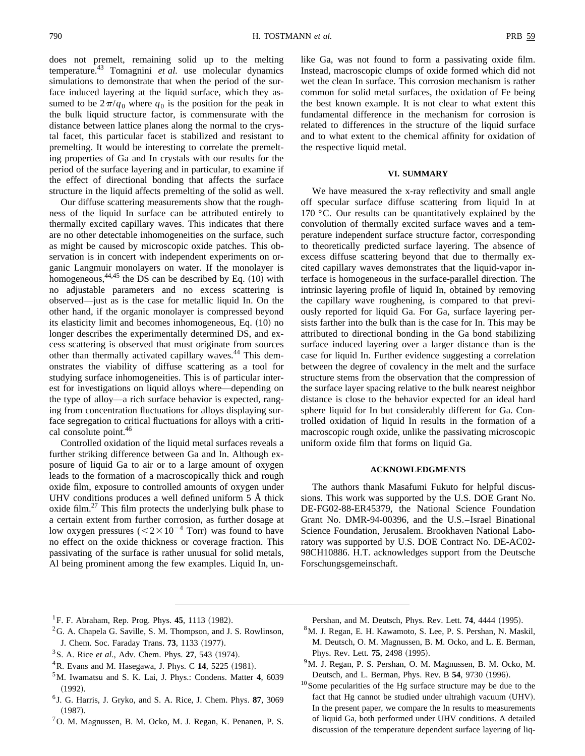does not premelt, remaining solid up to the melting temperature.<sup>43</sup> Tomagnini *et al.* use molecular dynamics simulations to demonstrate that when the period of the surface induced layering at the liquid surface, which they assumed to be  $2\pi/q_0$  where  $q_0$  is the position for the peak in the bulk liquid structure factor, is commensurate with the distance between lattice planes along the normal to the crystal facet, this particular facet is stabilized and resistant to premelting. It would be interesting to correlate the premelting properties of Ga and In crystals with our results for the period of the surface layering and in particular, to examine if the effect of directional bonding that affects the surface structure in the liquid affects premelting of the solid as well.

Our diffuse scattering measurements show that the roughness of the liquid In surface can be attributed entirely to thermally excited capillary waves. This indicates that there are no other detectable inhomogeneities on the surface, such as might be caused by microscopic oxide patches. This observation is in concert with independent experiments on organic Langmuir monolayers on water. If the monolayer is homogeneous,  $44,45$  the DS can be described by Eq.  $(10)$  with no adjustable parameters and no excess scattering is observed—just as is the case for metallic liquid In. On the other hand, if the organic monolayer is compressed beyond its elasticity limit and becomes inhomogeneous, Eq.  $(10)$  no longer describes the experimentally determined DS, and excess scattering is observed that must originate from sources other than thermally activated capillary waves.<sup>44</sup> This demonstrates the viability of diffuse scattering as a tool for studying surface inhomogeneities. This is of particular interest for investigations on liquid alloys where—depending on the type of alloy—a rich surface behavior is expected, ranging from concentration fluctuations for alloys displaying surface segregation to critical fluctuations for alloys with a critical consolute point.<sup>46</sup>

Controlled oxidation of the liquid metal surfaces reveals a further striking difference between Ga and In. Although exposure of liquid Ga to air or to a large amount of oxygen leads to the formation of a macroscopically thick and rough oxide film, exposure to controlled amounts of oxygen under UHV conditions produces a well defined uniform 5 Å thick oxide film. $27$  This film protects the underlying bulk phase to a certain extent from further corrosion, as further dosage at low oxygen pressures ( $\leq 2 \times 10^{-4}$  Torr) was found to have no effect on the oxide thickness or coverage fraction. This passivating of the surface is rather unusual for solid metals, Al being prominent among the few examples. Liquid In, unlike Ga, was not found to form a passivating oxide film. Instead, macroscopic clumps of oxide formed which did not wet the clean In surface. This corrosion mechanism is rather common for solid metal surfaces, the oxidation of Fe being the best known example. It is not clear to what extent this fundamental difference in the mechanism for corrosion is related to differences in the structure of the liquid surface and to what extent to the chemical affinity for oxidation of the respective liquid metal.

### **VI. SUMMARY**

We have measured the x-ray reflectivity and small angle off specular surface diffuse scattering from liquid In at 170 °C. Our results can be quantitatively explained by the convolution of thermally excited surface waves and a temperature independent surface structure factor, corresponding to theoretically predicted surface layering. The absence of excess diffuse scattering beyond that due to thermally excited capillary waves demonstrates that the liquid-vapor interface is homogeneous in the surface-parallel direction. The intrinsic layering profile of liquid In, obtained by removing the capillary wave roughening, is compared to that previously reported for liquid Ga. For Ga, surface layering persists farther into the bulk than is the case for In. This may be attributed to directional bonding in the Ga bond stabilizing surface induced layering over a larger distance than is the case for liquid In. Further evidence suggesting a correlation between the degree of covalency in the melt and the surface structure stems from the observation that the compression of the surface layer spacing relative to the bulk nearest neighbor distance is close to the behavior expected for an ideal hard sphere liquid for In but considerably different for Ga. Controlled oxidation of liquid In results in the formation of a macroscopic rough oxide, unlike the passivating microscopic uniform oxide film that forms on liquid Ga.

#### **ACKNOWLEDGMENTS**

The authors thank Masafumi Fukuto for helpful discussions. This work was supported by the U.S. DOE Grant No. DE-FG02-88-ER45379, the National Science Foundation Grant No. DMR-94-00396, and the U.S.–Israel Binational Science Foundation, Jerusalem. Brookhaven National Laboratory was supported by U.S. DOE Contract No. DE-AC02- 98CH10886. H.T. acknowledges support from the Deutsche Forschungsgemeinschaft.

- $^{1}$  F. F. Abraham, Rep. Prog. Phys. **45**, 1113 (1982).
- ${}^{2}$ G. A. Chapela G. Saville, S. M. Thompson, and J. S. Rowlinson, J. Chem. Soc. Faraday Trans. **73**, 1133 (1977).
- <sup>3</sup> S. A. Rice *et al.*, Adv. Chem. Phys. **27**, 543 (1974).
- ${}^{4}$ R. Evans and M. Hasegawa, J. Phys. C 14, 5225 (1981).
- 5M. Iwamatsu and S. K. Lai, J. Phys.: Condens. Matter **4**, 6039  $(1992).$
- <sup>6</sup> J. G. Harris, J. Gryko, and S. A. Rice, J. Chem. Phys. **87**, 3069  $(1987).$
- 7O. M. Magnussen, B. M. Ocko, M. J. Regan, K. Penanen, P. S.

Pershan, and M. Deutsch, Phys. Rev. Lett. **74**, 4444 (1995).

- 8M. J. Regan, E. H. Kawamoto, S. Lee, P. S. Pershan, N. Maskil, M. Deutsch, O. M. Magnussen, B. M. Ocko, and L. E. Berman, Phys. Rev. Lett. **75**, 2498 (1995).
- <sup>9</sup>M. J. Regan, P. S. Pershan, O. M. Magnussen, B. M. Ocko, M. Deutsch, and L. Berman, Phys. Rev. B **54**, 9730 (1996).
- <sup>10</sup> Some pecularities of the Hg surface structure may be due to the fact that Hg cannot be studied under ultrahigh vacuum (UHV). In the present paper, we compare the In results to measurements of liquid Ga, both performed under UHV conditions. A detailed discussion of the temperature dependent surface layering of liq-